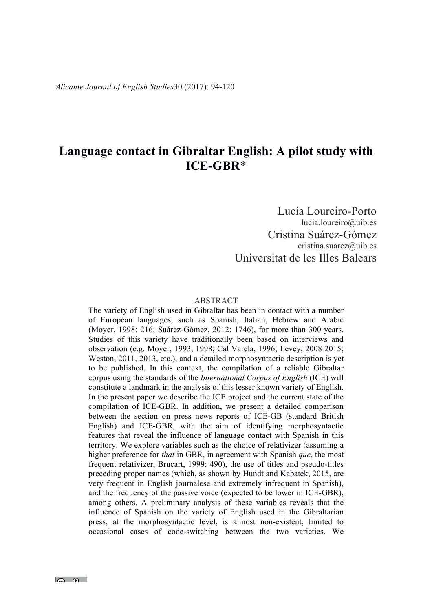# **Language contact in Gibraltar English: A pilot study with ICE-GBR**\*

Lucía Loureiro-Porto lucia.loureiro@uib.es Cristina Suárez-Gómez cristina.suarez@uib.es Universitat de les Illes Balears

#### ABSTRACT

The variety of English used in Gibraltar has been in contact with a number of European languages, such as Spanish, Italian, Hebrew and Arabic (Moyer, 1998: 216; Suárez-Gómez, 2012: 1746), for more than 300 years. Studies of this variety have traditionally been based on interviews and observation (e.g. Moyer, 1993, 1998; Cal Varela, 1996; Levey, 2008 2015; Weston, 2011, 2013, etc.), and a detailed morphosyntactic description is yet to be published. In this context, the compilation of a reliable Gibraltar corpus using the standards of the *International Corpus of English* (ICE) will constitute a landmark in the analysis of this lesser known variety of English. In the present paper we describe the ICE project and the current state of the compilation of ICE-GBR. In addition, we present a detailed comparison between the section on press news reports of ICE-GB (standard British English) and ICE-GBR, with the aim of identifying morphosyntactic features that reveal the influence of language contact with Spanish in this territory. We explore variables such as the choice of relativizer (assuming a higher preference for *that* in GBR, in agreement with Spanish *que*, the most frequent relativizer, Brucart, 1999: 490), the use of titles and pseudo-titles preceding proper names (which, as shown by Hundt and Kabatek, 2015, are very frequent in English journalese and extremely infrequent in Spanish), and the frequency of the passive voice (expected to be lower in ICE-GBR), among others. A preliminary analysis of these variables reveals that the influence of Spanish on the variety of English used in the Gibraltarian press, at the morphosyntactic level, is almost non-existent, limited to occasional cases of code-switching between the two varieties. We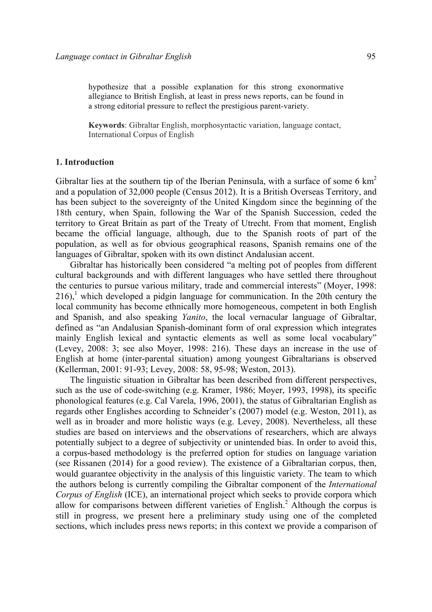hypothesize that a possible explanation for this strong exonormative allegiance to British English, at least in press news reports, can be found in a strong editorial pressure to reflect the prestigious parent-variety.

**Keywords**: Gibraltar English, morphosyntactic variation, language contact, International Corpus of English

#### **1. Introduction**

Gibraltar lies at the southern tip of the Iberian Peninsula, with a surface of some 6  $km<sup>2</sup>$ and a population of 32,000 people (Census 2012). It is a British Overseas Territory, and has been subject to the sovereignty of the United Kingdom since the beginning of the 18th century, when Spain, following the War of the Spanish Succession, ceded the territory to Great Britain as part of the Treaty of Utrecht. From that moment, English became the official language, although, due to the Spanish roots of part of the population, as well as for obvious geographical reasons, Spanish remains one of the languages of Gibraltar, spoken with its own distinct Andalusian accent.

Gibraltar has historically been considered "a melting pot of peoples from different cultural backgrounds and with different languages who have settled there throughout the centuries to pursue various military, trade and commercial interests" (Moyer, 1998:  $216$ ,<sup>1</sup> which developed a pidgin language for communication. In the 20th century the local community has become ethnically more homogeneous, competent in both English and Spanish, and also speaking *Yanito*, the local vernacular language of Gibraltar, defined as "an Andalusian Spanish-dominant form of oral expression which integrates mainly English lexical and syntactic elements as well as some local vocabulary" (Levey, 2008: 3; see also Moyer, 1998: 216). These days an increase in the use of English at home (inter-parental situation) among youngest Gibraltarians is observed (Kellerman, 2001: 91-93; Levey, 2008: 58, 95-98; Weston, 2013).

The linguistic situation in Gibraltar has been described from different perspectives, such as the use of code-switching (e.g. Kramer, 1986; Moyer, 1993, 1998), its specific phonological features (e.g. Cal Varela, 1996, 2001), the status of Gibraltarian English as regards other Englishes according to Schneider's (2007) model (e.g. Weston, 2011), as well as in broader and more holistic ways (e.g. Levey, 2008). Nevertheless, all these studies are based on interviews and the observations of researchers, which are always potentially subject to a degree of subjectivity or unintended bias. In order to avoid this, a corpus-based methodology is the preferred option for studies on language variation (see Rissanen (2014) for a good review). The existence of a Gibraltarian corpus, then, would guarantee objectivity in the analysis of this linguistic variety. The team to which the authors belong is currently compiling the Gibraltar component of the *International Corpus of English* (ICE), an international project which seeks to provide corpora which allow for comparisons between different varieties of  $English<sup>2</sup>$  Although the corpus is still in progress, we present here a preliminary study using one of the completed sections, which includes press news reports; in this context we provide a comparison of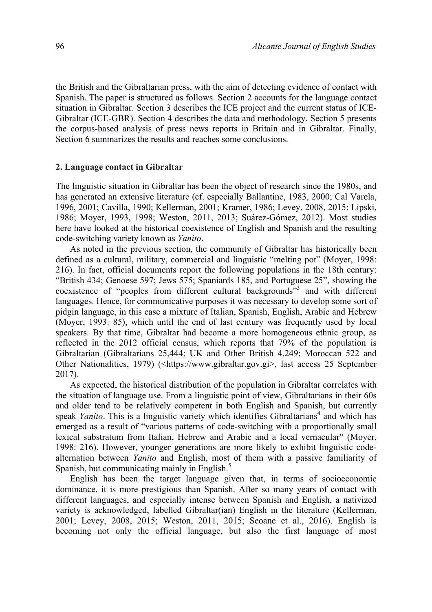the British and the Gibraltarian press, with the aim of detecting evidence of contact with Spanish. The paper is structured as follows. Section 2 accounts for the language contact situation in Gibraltar. Section 3 describes the ICE project and the current status of ICE-Gibraltar (ICE-GBR). Section 4 describes the data and methodology. Section 5 presents the corpus-based analysis of press news reports in Britain and in Gibraltar. Finally, Section 6 summarizes the results and reaches some conclusions.

#### **2. Language contact in Gibraltar**

The linguistic situation in Gibraltar has been the object of research since the 1980s, and has generated an extensive literature (cf. especially Ballantine, 1983, 2000; Cal Varela, 1996, 2001; Cavilla, 1990; Kellerman, 2001; Kramer, 1986; Levey, 2008, 2015; Lipski, 1986; Moyer, 1993, 1998; Weston, 2011, 2013; Suárez-Gómez, 2012). Most studies here have looked at the historical coexistence of English and Spanish and the resulting code-switching variety known as *Yanito*.

As noted in the previous section, the community of Gibraltar has historically been defined as a cultural, military, commercial and linguistic "melting pot" (Moyer, 1998: 216). In fact, official documents report the following populations in the 18th century: "British 434; Genoese 597; Jews 575; Spaniards 185, and Portuguese 25", showing the coexistence of "peoples from different cultural backgrounds"<sup>3</sup> and with different languages. Hence, for communicative purposes it was necessary to develop some sort of pidgin language, in this case a mixture of Italian, Spanish, English, Arabic and Hebrew (Moyer, 1993: 85), which until the end of last century was frequently used by local speakers. By that time, Gibraltar had become a more homogeneous ethnic group, as reflected in the 2012 official census, which reports that 79% of the population is Gibraltarian (Gibraltarians 25,444; UK and Other British 4,249; Moroccan 522 and Other Nationalities, 1979) (<https://www.gibraltar.gov.gi>, last access 25 September 2017).

As expected, the historical distribution of the population in Gibraltar correlates with the situation of language use. From a linguistic point of view, Gibraltarians in their 60s and older tend to be relatively competent in both English and Spanish, but currently speak *Yanito*. This is a linguistic variety which identifies Gibraltarians<sup>4</sup> and which has emerged as a result of "various patterns of code-switching with a proportionally small lexical substratum from Italian, Hebrew and Arabic and a local vernacular" (Moyer, 1998: 216). However, younger generations are more likely to exhibit linguistic codealternation between *Yanito* and English, most of them with a passive familiarity of Spanish, but communicating mainly in English. $\frac{5}{2}$ 

English has been the target language given that, in terms of socioeconomic dominance, it is more prestigious than Spanish. After so many years of contact with different languages, and especially intense between Spanish and English, a nativized variety is acknowledged, labelled Gibraltar(ian) English in the literature (Kellerman, 2001; Levey, 2008, 2015; Weston, 2011, 2015; Seoane et al., 2016). English is becoming not only the official language, but also the first language of most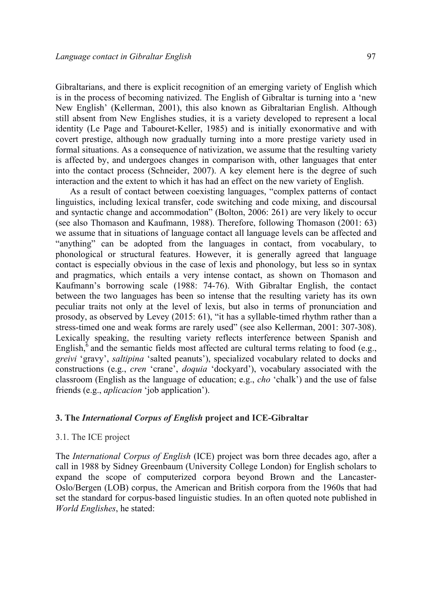Gibraltarians, and there is explicit recognition of an emerging variety of English which is in the process of becoming nativized. The English of Gibraltar is turning into a 'new New English' (Kellerman, 2001), this also known as Gibraltarian English. Although still absent from New Englishes studies, it is a variety developed to represent a local identity (Le Page and Tabouret-Keller, 1985) and is initially exonormative and with covert prestige, although now gradually turning into a more prestige variety used in formal situations. As a consequence of nativization, we assume that the resulting variety is affected by, and undergoes changes in comparison with, other languages that enter into the contact process (Schneider, 2007). A key element here is the degree of such interaction and the extent to which it has had an effect on the new variety of English.

As a result of contact between coexisting languages, "complex patterns of contact linguistics, including lexical transfer, code switching and code mixing, and discoursal and syntactic change and accommodation" (Bolton, 2006: 261) are very likely to occur (see also Thomason and Kaufmann, 1988). Therefore, following Thomason (2001: 63) we assume that in situations of language contact all language levels can be affected and "anything" can be adopted from the languages in contact, from vocabulary, to phonological or structural features. However, it is generally agreed that language contact is especially obvious in the case of lexis and phonology, but less so in syntax and pragmatics, which entails a very intense contact, as shown on Thomason and Kaufmann's borrowing scale (1988: 74-76). With Gibraltar English, the contact between the two languages has been so intense that the resulting variety has its own peculiar traits not only at the level of lexis, but also in terms of pronunciation and prosody, as observed by Levey (2015: 61), "it has a syllable-timed rhythm rather than a stress-timed one and weak forms are rarely used" (see also Kellerman, 2001: 307-308). Lexically speaking, the resulting variety reflects interference between Spanish and English, $6$  and the semantic fields most affected are cultural terms relating to food (e.g., *greivi* 'gravy', *saltipina* 'salted peanuts'), specialized vocabulary related to docks and constructions (e.g., *cren* 'crane', *doquia* 'dockyard'), vocabulary associated with the classroom (English as the language of education; e.g., *cho* 'chalk') and the use of false friends (e.g., *aplicacion* 'job application').

# **3. The** *International Corpus of English* **project and ICE-Gibraltar**

### 3.1. The ICE project

The *International Corpus of English* (ICE) project was born three decades ago, after a call in 1988 by Sidney Greenbaum (University College London) for English scholars to expand the scope of computerized corpora beyond Brown and the Lancaster-Oslo/Bergen (LOB) corpus, the American and British corpora from the 1960s that had set the standard for corpus-based linguistic studies. In an often quoted note published in *World Englishes*, he stated: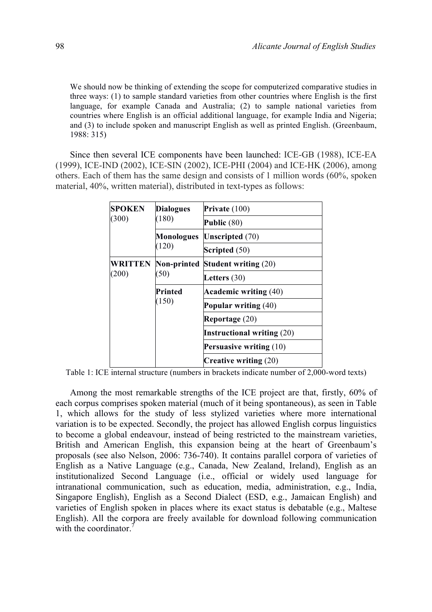We should now be thinking of extending the scope for computerized comparative studies in three ways: (1) to sample standard varieties from other countries where English is the first language, for example Canada and Australia; (2) to sample national varieties from countries where English is an official additional language, for example India and Nigeria; and (3) to include spoken and manuscript English as well as printed English. (Greenbaum, 1988: 315)

Since then several ICE components have been launched: ICE-GB (1988), ICE-EA (1999), ICE-IND (2002), ICE-SIN (2002), ICE-PHI (2004) and ICE-HK (2006), among others. Each of them has the same design and consists of 1 million words (60%, spoken material, 40%, written material), distributed in text-types as follows:

| <b>SPOKEN</b>           | <b>Dialogues</b>           | Private $(100)$                                                                    |  |  |
|-------------------------|----------------------------|------------------------------------------------------------------------------------|--|--|
| (300)                   | (180)                      | Public $(80)$                                                                      |  |  |
|                         | <b>Monologues</b><br>(120) | <b>Unscripted</b> (70)                                                             |  |  |
|                         |                            | Scripted (50)                                                                      |  |  |
| <b>WRITTEN</b><br>(200) | (50)                       | <b>Non-printed Student writing (20)</b>                                            |  |  |
|                         |                            | Letters $(30)$                                                                     |  |  |
|                         | Printed                    | <b>Academic writing (40)</b>                                                       |  |  |
|                         | (150)                      |                                                                                    |  |  |
|                         |                            | <b>Popular writing (40)</b><br>Reportage (20)<br><b>Instructional writing (20)</b> |  |  |
|                         |                            |                                                                                    |  |  |
|                         |                            | Persuasive writing (10)                                                            |  |  |
|                         |                            | <b>Creative writing <math>(20)</math></b>                                          |  |  |

Table 1: ICE internal structure (numbers in brackets indicate number of 2,000-word texts)

Among the most remarkable strengths of the ICE project are that, firstly, 60% of each corpus comprises spoken material (much of it being spontaneous), as seen in Table 1, which allows for the study of less stylized varieties where more international variation is to be expected. Secondly, the project has allowed English corpus linguistics to become a global endeavour, instead of being restricted to the mainstream varieties, British and American English, this expansion being at the heart of Greenbaum's proposals (see also Nelson, 2006: 736-740). It contains parallel corpora of varieties of English as a Native Language (e.g., Canada, New Zealand, Ireland), English as an institutionalized Second Language (i.e., official or widely used language for intranational communication, such as education, media, administration, e.g., India, Singapore English), English as a Second Dialect (ESD, e.g., Jamaican English) and varieties of English spoken in places where its exact status is debatable (e.g., Maltese English). All the corpora are freely available for download following communication with the coordinator  $\bar{7}$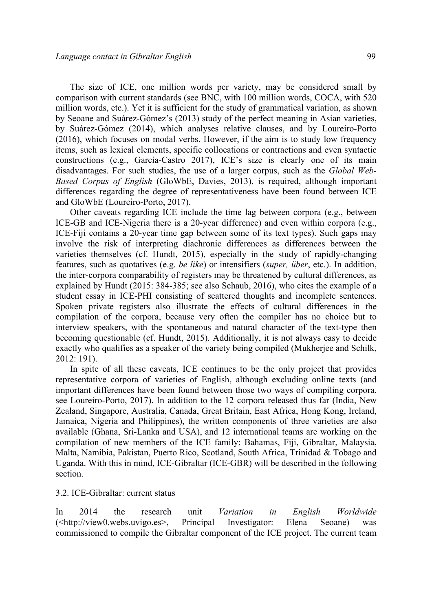The size of ICE, one million words per variety, may be considered small by comparison with current standards (see BNC, with 100 million words, COCA, with 520 million words, etc.). Yet it is sufficient for the study of grammatical variation, as shown by Seoane and Suárez-Gómez's (2013) study of the perfect meaning in Asian varieties, by Suárez-Gómez (2014), which analyses relative clauses, and by Loureiro-Porto (2016), which focuses on modal verbs. However, if the aim is to study low frequency items, such as lexical elements, specific collocations or contractions and even syntactic constructions (e.g., García-Castro 2017), ICE's size is clearly one of its main disadvantages. For such studies, the use of a larger corpus, such as the *Global Web-Based Corpus of English* (GloWbE, Davies, 2013), is required, although important differences regarding the degree of representativeness have been found between ICE and GloWbE (Loureiro-Porto, 2017).

Other caveats regarding ICE include the time lag between corpora (e.g., between ICE-GB and ICE-Nigeria there is a 20-year difference) and even within corpora (e.g., ICE-Fiji contains a 20-year time gap between some of its text types). Such gaps may involve the risk of interpreting diachronic differences as differences between the varieties themselves (cf. Hundt, 2015), especially in the study of rapidly-changing features, such as quotatives (e.g. *be like*) or intensifiers (*super, über*, etc.). In addition, the inter-corpora comparability of registers may be threatened by cultural differences, as explained by Hundt (2015: 384-385; see also Schaub, 2016), who cites the example of a student essay in ICE-PHI consisting of scattered thoughts and incomplete sentences. Spoken private registers also illustrate the effects of cultural differences in the compilation of the corpora, because very often the compiler has no choice but to interview speakers, with the spontaneous and natural character of the text-type then becoming questionable (cf. Hundt, 2015). Additionally, it is not always easy to decide exactly who qualifies as a speaker of the variety being compiled (Mukherjee and Schilk, 2012: 191).

In spite of all these caveats, ICE continues to be the only project that provides representative corpora of varieties of English, although excluding online texts (and important differences have been found between those two ways of compiling corpora, see Loureiro-Porto, 2017). In addition to the 12 corpora released thus far (India, New Zealand, Singapore, Australia, Canada, Great Britain, East Africa, Hong Kong, Ireland, Jamaica, Nigeria and Philippines), the written components of three varieties are also available (Ghana, Sri-Lanka and USA), and 12 international teams are working on the compilation of new members of the ICE family: Bahamas, Fiji, Gibraltar, Malaysia, Malta, Namibia, Pakistan, Puerto Rico, Scotland, South Africa, Trinidad & Tobago and Uganda. With this in mind, ICE-Gibraltar (ICE-GBR) will be described in the following section.

### 3.2. ICE-Gibraltar: current status

In 2014 the research unit *Variation in English Worldwide*  (<http://view0.webs.uvigo.es>, Principal Investigator: Elena Seoane) was commissioned to compile the Gibraltar component of the ICE project. The current team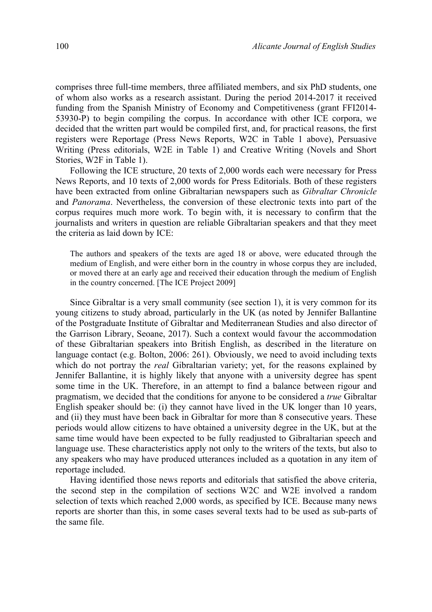comprises three full-time members, three affiliated members, and six PhD students, one of whom also works as a research assistant. During the period 2014-2017 it received funding from the Spanish Ministry of Economy and Competitiveness (grant FFI2014- 53930-P) to begin compiling the corpus. In accordance with other ICE corpora, we decided that the written part would be compiled first, and, for practical reasons, the first registers were Reportage (Press News Reports, W2C in Table 1 above), Persuasive Writing (Press editorials, W2E in Table 1) and Creative Writing (Novels and Short Stories, W2F in Table 1).

Following the ICE structure, 20 texts of 2,000 words each were necessary for Press News Reports, and 10 texts of 2,000 words for Press Editorials. Both of these registers have been extracted from online Gibraltarian newspapers such as *Gibraltar Chronicle* and *Panorama*. Nevertheless, the conversion of these electronic texts into part of the corpus requires much more work. To begin with, it is necessary to confirm that the journalists and writers in question are reliable Gibraltarian speakers and that they meet the criteria as laid down by ICE:

The authors and speakers of the texts are aged 18 or above, were educated through the medium of English, and were either born in the country in whose corpus they are included, or moved there at an early age and received their education through the medium of English in the country concerned. [The ICE Project 2009]

Since Gibraltar is a very small community (see section 1), it is very common for its young citizens to study abroad, particularly in the UK (as noted by Jennifer Ballantine of the Postgraduate Institute of Gibraltar and Mediterranean Studies and also director of the Garrison Library, Seoane, 2017). Such a context would favour the accommodation of these Gibraltarian speakers into British English, as described in the literature on language contact (e.g. Bolton, 2006: 261). Obviously, we need to avoid including texts which do not portray the *real* Gibraltarian variety; yet, for the reasons explained by Jennifer Ballantine, it is highly likely that anyone with a university degree has spent some time in the UK. Therefore, in an attempt to find a balance between rigour and pragmatism, we decided that the conditions for anyone to be considered a *true* Gibraltar English speaker should be: (i) they cannot have lived in the UK longer than 10 years, and (ii) they must have been back in Gibraltar for more than 8 consecutive years. These periods would allow citizens to have obtained a university degree in the UK, but at the same time would have been expected to be fully readjusted to Gibraltarian speech and language use. These characteristics apply not only to the writers of the texts, but also to any speakers who may have produced utterances included as a quotation in any item of reportage included.

Having identified those news reports and editorials that satisfied the above criteria, the second step in the compilation of sections W2C and W2E involved a random selection of texts which reached 2,000 words, as specified by ICE. Because many news reports are shorter than this, in some cases several texts had to be used as sub-parts of the same file.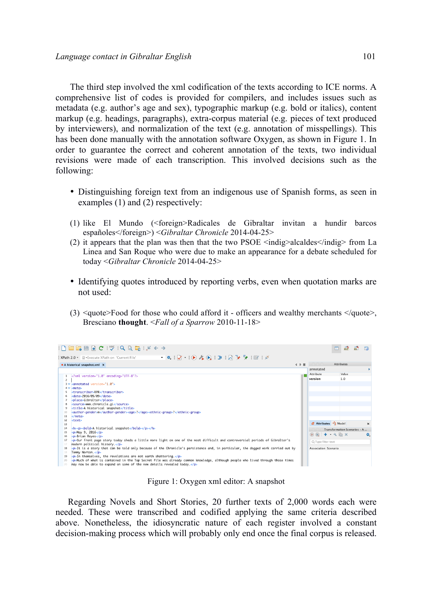The third step involved the xml codification of the texts according to ICE norms. A comprehensive list of codes is provided for compilers, and includes issues such as metadata (e.g. author's age and sex), typographic markup (e.g. bold or italics), content markup (e.g. headings, paragraphs), extra-corpus material (e.g. pieces of text produced by interviewers), and normalization of the text (e.g. annotation of misspellings). This has been done manually with the annotation software Oxygen, as shown in Figure 1. In order to guarantee the correct and coherent annotation of the texts, two individual revisions were made of each transcription. This involved decisions such as the following:

- Distinguishing foreign text from an indigenous use of Spanish forms, as seen in examples (1) and (2) respectively:
- (1) like El Mundo (<foreign>Radicales de Gibraltar invitan a hundir barcos españoles</foreign>) <*Gibraltar Chronicle* 2014-04-25>
- (2) it appears that the plan was then that the two PSOE  $\leq$ indig $\geq$ alcaldes $\leq$ /indig $\geq$  from La Linea and San Roque who were due to make an appearance for a debate scheduled for today <*Gibraltar Chronicle* 2014-04-25>
- Identifying quotes introduced by reporting verbs, even when quotation marks are not used:
- (3)  $\leq$ quote>Food for those who could afford it officers and wealthy merchants  $\leq$ /quote>, Bresciano **thought**. <*Fall of a Sparrow* 2010-11-18>



Figure 1: Oxygen xml editor: A snapshot

Regarding Novels and Short Stories, 20 further texts of 2,000 words each were needed. These were transcribed and codified applying the same criteria described above. Nonetheless, the idiosyncratic nature of each register involved a constant decision-making process which will probably only end once the final corpus is released.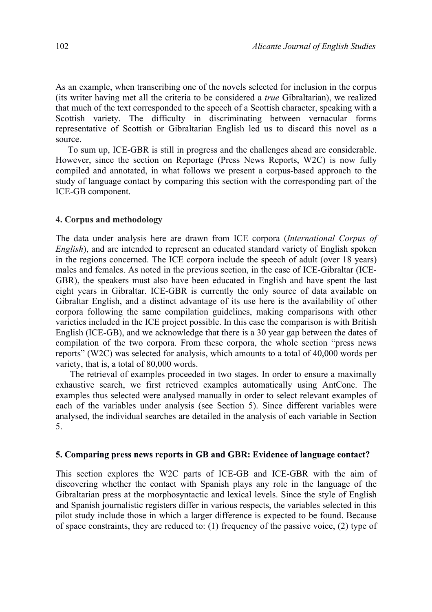As an example, when transcribing one of the novels selected for inclusion in the corpus (its writer having met all the criteria to be considered a *true* Gibraltarian), we realized that much of the text corresponded to the speech of a Scottish character, speaking with a Scottish variety. The difficulty in discriminating between vernacular forms representative of Scottish or Gibraltarian English led us to discard this novel as a source.

To sum up, ICE-GBR is still in progress and the challenges ahead are considerable. However, since the section on Reportage (Press News Reports, W2C) is now fully compiled and annotated, in what follows we present a corpus-based approach to the study of language contact by comparing this section with the corresponding part of the ICE-GB component.

# **4. Corpus and methodology**

The data under analysis here are drawn from ICE corpora (*International Corpus of English*), and are intended to represent an educated standard variety of English spoken in the regions concerned. The ICE corpora include the speech of adult (over 18 years) males and females. As noted in the previous section, in the case of ICE-Gibraltar (ICE-GBR), the speakers must also have been educated in English and have spent the last eight years in Gibraltar. ICE-GBR is currently the only source of data available on Gibraltar English, and a distinct advantage of its use here is the availability of other corpora following the same compilation guidelines, making comparisons with other varieties included in the ICE project possible. In this case the comparison is with British English (ICE-GB), and we acknowledge that there is a 30 year gap between the dates of compilation of the two corpora. From these corpora, the whole section "press news reports" (W2C) was selected for analysis, which amounts to a total of 40,000 words per variety, that is, a total of 80,000 words.

The retrieval of examples proceeded in two stages. In order to ensure a maximally exhaustive search, we first retrieved examples automatically using AntConc. The examples thus selected were analysed manually in order to select relevant examples of each of the variables under analysis (see Section 5). Since different variables were analysed, the individual searches are detailed in the analysis of each variable in Section 5.

## **5. Comparing press news reports in GB and GBR: Evidence of language contact?**

This section explores the W2C parts of ICE-GB and ICE-GBR with the aim of discovering whether the contact with Spanish plays any role in the language of the Gibraltarian press at the morphosyntactic and lexical levels. Since the style of English and Spanish journalistic registers differ in various respects, the variables selected in this pilot study include those in which a larger difference is expected to be found. Because of space constraints, they are reduced to: (1) frequency of the passive voice, (2) type of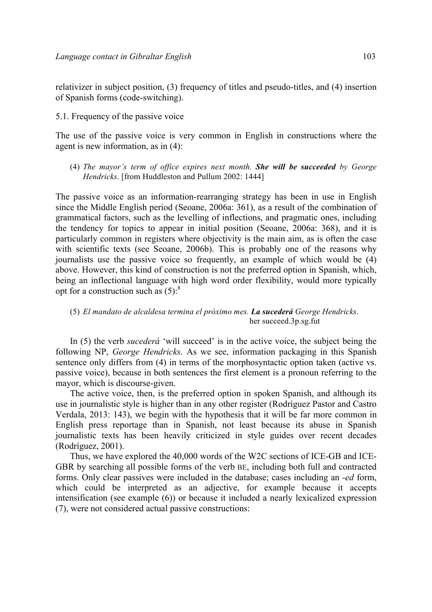relativizer in subject position, (3) frequency of titles and pseudo-titles, and (4) insertion of Spanish forms (code-switching).

5.1. Frequency of the passive voice

The use of the passive voice is very common in English in constructions where the agent is new information, as in (4):

(4) *The mayor's term of office expires next month. She will be succeeded by George Hendricks*. [from Huddleston and Pullum 2002: 1444]

The passive voice as an information-rearranging strategy has been in use in English since the Middle English period (Seoane, 2006a: 361), as a result of the combination of grammatical factors, such as the levelling of inflections, and pragmatic ones, including the tendency for topics to appear in initial position (Seoane, 2006a: 368), and it is particularly common in registers where objectivity is the main aim, as is often the case with scientific texts (see Seoane, 2006b). This is probably one of the reasons why journalists use the passive voice so frequently, an example of which would be (4) above. However, this kind of construction is not the preferred option in Spanish, which, being an inflectional language with high word order flexibility, would more typically opt for a construction such as  $(5)$ :<sup>8</sup>

## (5) *El mandato de alcaldesa termina el próximo mes. La sucederá George Hendricks*. her succeed.3p.sg.fut

In (5) the verb *sucederá* 'will succeed' is in the active voice, the subject being the following NP, *George Hendricks.* As we see, information packaging in this Spanish sentence only differs from (4) in terms of the morphosyntactic option taken (active vs. passive voice), because in both sentences the first element is a pronoun referring to the mayor, which is discourse-given.

The active voice, then, is the preferred option in spoken Spanish, and although its use in journalistic style is higher than in any other register (Rodríguez Pastor and Castro Verdala, 2013: 143), we begin with the hypothesis that it will be far more common in English press reportage than in Spanish, not least because its abuse in Spanish journalistic texts has been heavily criticized in style guides over recent decades (Rodríguez, 2001).

Thus, we have explored the 40,000 words of the W2C sections of ICE-GB and ICE-GBR by searching all possible forms of the verb BE, including both full and contracted forms. Only clear passives were included in the database; cases including an *-ed* form, which could be interpreted as an adjective, for example because it accepts intensification (see example (6)) or because it included a nearly lexicalized expression (7), were not considered actual passive constructions: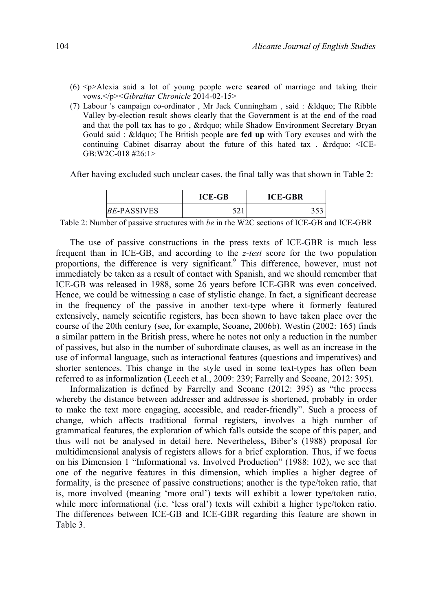- (6) <p>Alexia said a lot of young people were **scared** of marriage and taking their vows.</p><*Gibraltar Chronicle* 2014-02-15>
- (7) Labour 's campaign co-ordinator, Mr Jack Cunningham, said:  $\&$ ldquo; The Ribble Valley by-election result shows clearly that the Government is at the end of the road and that the poll tax has to go, " while Shadow Environment Secretary Bryan Gould said : " The British people **are fed up** with Tory excuses and with the continuing Cabinet disarray about the future of this hated tax.  $\&$ rdquo; <ICE-GB:W2C-018 #26:1>

After having excluded such unclear cases, the final tally was that shown in Table 2:

|                    | <b>ICE-GB</b> | <b>ICE-GBR</b> |
|--------------------|---------------|----------------|
| <i>BE-PASSIVES</i> |               |                |

Table 2: Number of passive structures with *be* in the W2C sections of ICE-GB and ICE-GBR

The use of passive constructions in the press texts of ICE-GBR is much less frequent than in ICE-GB, and according to the *z-test* score for the two population proportions, the difference is very significant.<sup>9</sup> This difference, however, must not immediately be taken as a result of contact with Spanish, and we should remember that ICE-GB was released in 1988, some 26 years before ICE-GBR was even conceived. Hence, we could be witnessing a case of stylistic change. In fact, a significant decrease in the frequency of the passive in another text-type where it formerly featured extensively, namely scientific registers, has been shown to have taken place over the course of the 20th century (see, for example, Seoane, 2006b). Westin (2002: 165) finds a similar pattern in the British press, where he notes not only a reduction in the number of passives, but also in the number of subordinate clauses, as well as an increase in the use of informal language, such as interactional features (questions and imperatives) and shorter sentences. This change in the style used in some text-types has often been referred to as informalization (Leech et al., 2009: 239; Farrelly and Seoane, 2012: 395).

Informalization is defined by Farrelly and Seoane (2012: 395) as "the process whereby the distance between addresser and addressee is shortened, probably in order to make the text more engaging, accessible, and reader-friendly". Such a process of change, which affects traditional formal registers, involves a high number of grammatical features, the exploration of which falls outside the scope of this paper, and thus will not be analysed in detail here. Nevertheless, Biber's (1988) proposal for multidimensional analysis of registers allows for a brief exploration. Thus, if we focus on his Dimension 1 "Informational vs. Involved Production" (1988: 102), we see that one of the negative features in this dimension, which implies a higher degree of formality, is the presence of passive constructions; another is the type/token ratio, that is, more involved (meaning 'more oral') texts will exhibit a lower type/token ratio, while more informational (i.e. 'less oral') texts will exhibit a higher type/token ratio. The differences between ICE-GB and ICE-GBR regarding this feature are shown in Table 3.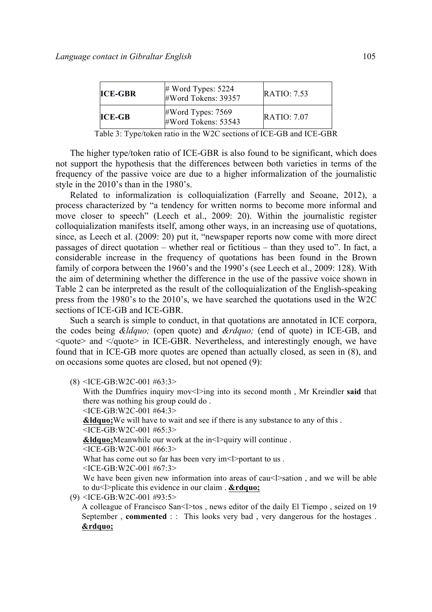| <b>ICE-GBR</b> | $\#$ Word Types: 5224<br>#Word Tokens: 39357 | <b>RATIO: 7.53</b> |
|----------------|----------------------------------------------|--------------------|
| $ICE-GB$       | $\#Word$ Types: 7569<br>#Word Tokens: 53543  | RATIO.707          |

Table 3: Type/token ratio in the W2C sections of ICE-GB and ICE-GBR

The higher type/token ratio of ICE-GBR is also found to be significant, which does not support the hypothesis that the differences between both varieties in terms of the frequency of the passive voice are due to a higher informalization of the journalistic style in the 2010's than in the 1980's.

Related to informalization is colloquialization (Farrelly and Seoane, 2012), a process characterized by "a tendency for written norms to become more informal and move closer to speech" (Leech et al., 2009: 20). Within the journalistic register colloquialization manifests itself, among other ways, in an increasing use of quotations, since, as Leech et al. (2009: 20) put it, "newspaper reports now come with more direct passages of direct quotation – whether real or fictitious – than they used to". In fact, a considerable increase in the frequency of quotations has been found in the Brown family of corpora between the 1960's and the 1990's (see Leech et al., 2009: 128). With the aim of determining whether the difference in the use of the passive voice shown in Table 2 can be interpreted as the result of the colloquialization of the English-speaking press from the 1980's to the 2010's, we have searched the quotations used in the W2C sections of ICE-GB and ICE-GBR.

Such a search is simple to conduct, in that quotations are annotated in ICE corpora, the codes being *&ldquo*; (open quote) and *&rdquo*; (end of quote) in ICE-GB, and <quote> and </quote> in ICE-GBR. Nevertheless, and interestingly enough, we have found that in ICE-GB more quotes are opened than actually closed, as seen in (8), and on occasions some quotes are closed, but not opened (9):

 $(8)$  <ICE-GB:W2C-001 #63:3>

With the Dumfries inquiry mov<l>ing into its second month, Mr Kreindler **said** that there was nothing his group could do .

<ICE-GB:W2C-001 #64:3> **&Idquo:** We will have to wait and see if there is any substance to any of this . <ICE-GB:W2C-001 #65:3> **&Idquo**; Meanwhile our work at the in<l>quiry will continue.

<ICE-GB:W2C-001 #66:3>

What has come out so far has been very  $im<$ l $>$ portant to us .

<ICE-GB:W2C-001 #67:3>

We have been given new information into areas of cau<l>sation, and we will be able to  $du$ <l>plicate this evidence in our claim .  $&$  **rdquo**;

(9) <ICE-GB:W2C-001 #93:5>

A colleague of Francisco San<l>tos, news editor of the daily El Tiempo, seized on 19 September, **commented** :: This looks very bad, very dangerous for the hostages. *&rdquo*;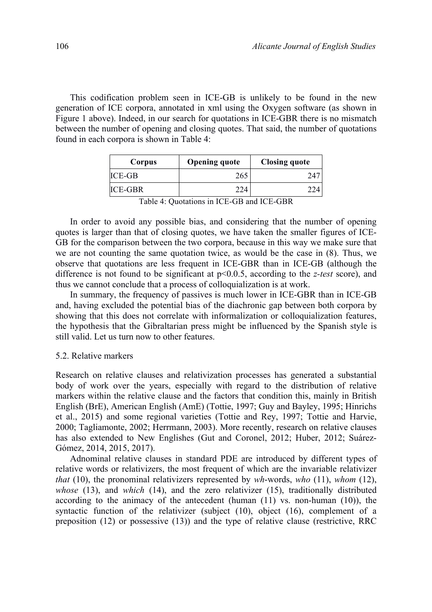This codification problem seen in ICE-GB is unlikely to be found in the new generation of ICE corpora, annotated in xml using the Oxygen software (as shown in Figure 1 above). Indeed, in our search for quotations in ICE-GBR there is no mismatch between the number of opening and closing quotes. That said, the number of quotations found in each corpora is shown in Table 4:

| Corpus        | <b>Opening quote</b> | <b>Closing quote</b> |
|---------------|----------------------|----------------------|
| <b>ICE-GB</b> | 265                  |                      |
| ICE-GBR       | 224                  |                      |

Table 4: Quotations in ICE-GB and ICE-GBR

In order to avoid any possible bias, and considering that the number of opening quotes is larger than that of closing quotes, we have taken the smaller figures of ICE-GB for the comparison between the two corpora, because in this way we make sure that we are not counting the same quotation twice, as would be the case in (8). Thus, we observe that quotations are less frequent in ICE-GBR than in ICE-GB (although the difference is not found to be significant at p<0.0.5, according to the *z-test* score), and thus we cannot conclude that a process of colloquialization is at work.

In summary, the frequency of passives is much lower in ICE-GBR than in ICE-GB and, having excluded the potential bias of the diachronic gap between both corpora by showing that this does not correlate with informalization or colloquialization features, the hypothesis that the Gibraltarian press might be influenced by the Spanish style is still valid. Let us turn now to other features.

## 5.2. Relative markers

Research on relative clauses and relativization processes has generated a substantial body of work over the years, especially with regard to the distribution of relative markers within the relative clause and the factors that condition this, mainly in British English (BrE), American English (AmE) (Tottie, 1997; Guy and Bayley, 1995; Hinrichs et al., 2015) and some regional varieties (Tottie and Rey, 1997; Tottie and Harvie, 2000; Tagliamonte, 2002; Herrmann, 2003). More recently, research on relative clauses has also extended to New Englishes (Gut and Coronel, 2012; Huber, 2012; Suárez-Gómez, 2014, 2015, 2017).

Adnominal relative clauses in standard PDE are introduced by different types of relative words or relativizers, the most frequent of which are the invariable relativizer *that* (10), the pronominal relativizers represented by *wh*-words, *who* (11), *whom* (12), *whose* (13), and *which* (14), and the zero relativizer (15), traditionally distributed according to the animacy of the antecedent (human (11) vs. non-human (10)), the syntactic function of the relativizer (subject (10), object (16), complement of a preposition (12) or possessive (13)) and the type of relative clause (restrictive, RRC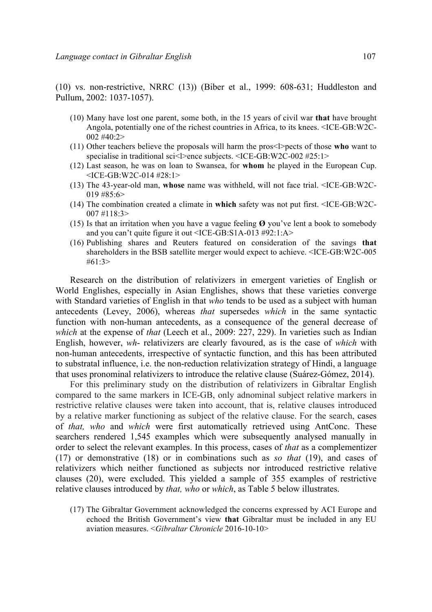(10) vs. non-restrictive, NRRC (13)) (Biber et al., 1999: 608-631; Huddleston and Pullum, 2002: 1037-1057).

- (10) Many have lost one parent, some both, in the 15 years of civil war **that** have brought Angola, potentially one of the richest countries in Africa, to its knees. <ICE-GB:W2C- $002 \text{ #}40:2>$
- (11) Other teachers believe the proposals will harm the pros<l>pects of those **who** want to specialise in traditional sci<l>ence subjects. <ICE-GB:W2C-002 #25:1>
- (12) Last season, he was on loan to Swansea, for **whom** he played in the European Cup. <ICE-GB:W2C-014 #28:1>
- (13) The 43-year-old man, **whose** name was withheld, will not face trial. <ICE-GB:W2C-019 #85:6>
- (14) The combination created a climate in **which** safety was not put first. <ICE-GB:W2C-007 #118:3>
- (15) Is that an irritation when you have a vague feeling **Ø** you've lent a book to somebody and you can't quite figure it out <ICE-GB:S1A-013 #92:1:A>
- (16) Publishing shares and Reuters featured on consideration of the savings **that** shareholders in the BSB satellite merger would expect to achieve. <ICE-GB:W2C-005  $#61.3>$

Research on the distribution of relativizers in emergent varieties of English or World Englishes, especially in Asian Englishes, shows that these varieties converge with Standard varieties of English in that *who* tends to be used as a subject with human antecedents (Levey, 2006), whereas *that* supersedes *which* in the same syntactic function with non-human antecedents, as a consequence of the general decrease of *which* at the expense of *that* (Leech et al., 2009: 227, 229). In varieties such as Indian English, however, *wh*- relativizers are clearly favoured, as is the case of *which* with non-human antecedents, irrespective of syntactic function, and this has been attributed to substratal influence, i.e. the non-reduction relativization strategy of Hindi, a language that uses pronominal relativizers to introduce the relative clause (Suárez-Gómez, 2014).

For this preliminary study on the distribution of relativizers in Gibraltar English compared to the same markers in ICE-GB, only adnominal subject relative markers in restrictive relative clauses were taken into account, that is, relative clauses introduced by a relative marker functioning as subject of the relative clause. For the search, cases of *that, who* and *which* were first automatically retrieved using AntConc. These searchers rendered 1,545 examples which were subsequently analysed manually in order to select the relevant examples. In this process, cases of *that* as a complementizer (17) or demonstrative (18) or in combinations such as *so that* (19), and cases of relativizers which neither functioned as subjects nor introduced restrictive relative clauses (20), were excluded. This yielded a sample of 355 examples of restrictive relative clauses introduced by *that, who* or *which*, as Table 5 below illustrates.

(17) The Gibraltar Government acknowledged the concerns expressed by ACI Europe and echoed the British Government's view **that** Gibraltar must be included in any EU aviation measures. <*Gibraltar Chronicle* 2016-10-10>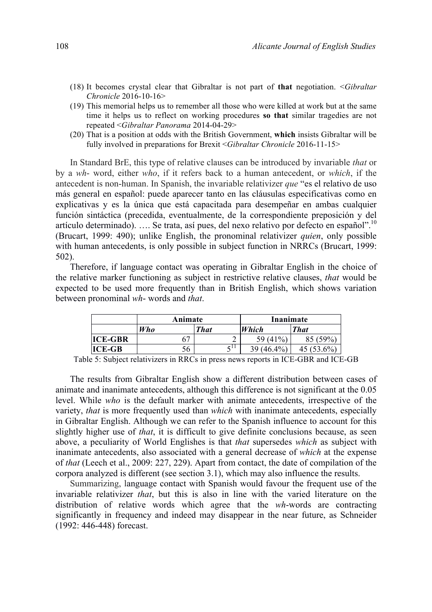- (18) It becomes crystal clear that Gibraltar is not part of **that** negotiation. <*Gibraltar Chronicle* 2016-10-16>
- (19) This memorial helps us to remember all those who were killed at work but at the same time it helps us to reflect on working procedures **so that** similar tragedies are not repeated <*Gibraltar Panorama* 2014-04-29>
- (20) That is a position at odds with the British Government, **which** insists Gibraltar will be fully involved in preparations for Brexit <*Gibraltar Chronicle* 2016-11-15>

In Standard BrE, this type of relative clauses can be introduced by invariable *that* or by a *wh*- word, either *who*, if it refers back to a human antecedent, or *which*, if the antecedent is non-human. In Spanish, the invariable relativizer *que* "es el relativo de uso más general en español: puede aparecer tanto en las cláusulas especificativas como en explicativas y es la única que está capacitada para desempeñar en ambas cualquier función sintáctica (precedida, eventualmente, de la correspondiente preposición y del artículo determinado). …. Se trata, así pues, del nexo relativo por defecto en español".10 (Brucart, 1999: 490); unlike English, the pronominal relativizer *quien*, only possible with human antecedents, is only possible in subject function in NRRCs (Brucart, 1999: 502).

Therefore, if language contact was operating in Gibraltar English in the choice of the relative marker functioning as subject in restrictive relative clauses, *that* would be expected to be used more frequently than in British English, which shows variation between pronominal *wh*- words and *that*.

|                | Animate    |               | Inanimate    |               |
|----------------|------------|---------------|--------------|---------------|
|                | <b>Who</b> | <b>That</b>   | Which        | <b>That</b>   |
| <b>ICE-GBR</b> |            | ↩             | 59 (41%)     | (59%          |
| <b>ICE-GB</b>  | 56         | $\epsilon$ li | $39(46.4\%)$ | 45 $(53.6\%)$ |

Table 5: Subject relativizers in RRCs in press news reports in ICE-GBR and ICE-GB

The results from Gibraltar English show a different distribution between cases of animate and inanimate antecedents, although this difference is not significant at the 0.05 level. While *who* is the default marker with animate antecedents, irrespective of the variety, *that* is more frequently used than *which* with inanimate antecedents, especially in Gibraltar English. Although we can refer to the Spanish influence to account for this slightly higher use of *that*, it is difficult to give definite conclusions because, as seen above, a peculiarity of World Englishes is that *that* supersedes *which* as subject with inanimate antecedents, also associated with a general decrease of *which* at the expense of *that* (Leech et al., 2009: 227, 229). Apart from contact, the date of compilation of the corpora analyzed is different (see section 3.1), which may also influence the results.

Summarizing, language contact with Spanish would favour the frequent use of the invariable relativizer *that*, but this is also in line with the varied literature on the distribution of relative words which agree that the *wh*-words are contracting significantly in frequency and indeed may disappear in the near future, as Schneider (1992: 446-448) forecast.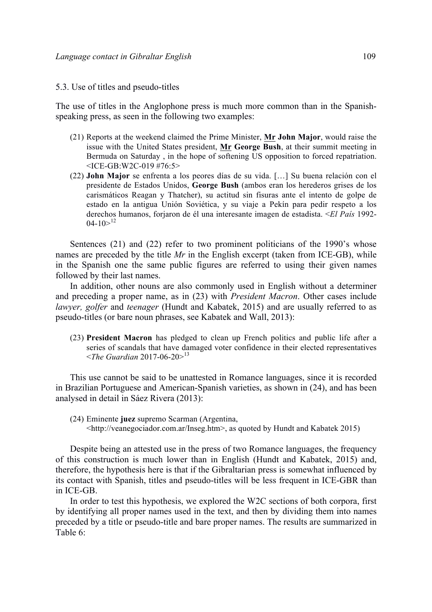#### 5.3. Use of titles and pseudo-titles

The use of titles in the Anglophone press is much more common than in the Spanishspeaking press, as seen in the following two examples:

- (21) Reports at the weekend claimed the Prime Minister, **Mr John Major**, would raise the issue with the United States president, **Mr George Bush**, at their summit meeting in Bermuda on Saturday , in the hope of softening US opposition to forced repatriation. <ICE-GB:W2C-019 #76:5>
- (22) **John Major** se enfrenta a los peores días de su vida. […] Su buena relación con el presidente de Estados Unidos, **George Bush** (ambos eran los herederos grises de los carismáticos Reagan y Thatcher), su actitud sin fisuras ante el intento de golpe de estado en la antigua Unión Soviética, y su viaje a Pekín para pedir respeto a los derechos humanos, forjaron de él una interesante imagen de estadista. <*El País* 1992-  $04-10>^{12}$

Sentences (21) and (22) refer to two prominent politicians of the 1990's whose names are preceded by the title *Mr* in the English excerpt (taken from ICE-GB), while in the Spanish one the same public figures are referred to using their given names followed by their last names.

In addition, other nouns are also commonly used in English without a determiner and preceding a proper name, as in (23) with *President Macron*. Other cases include *lawyer, golfer* and *teenager* (Hundt and Kabatek, 2015) and are usually referred to as pseudo-titles (or bare noun phrases, see Kabatek and Wall, 2013):

(23) **President Macron** has pledged to clean up French politics and public life after a series of scandals that have damaged voter confidence in their elected representatives <*The Guardian* 2017-06-20><sup>13</sup>

This use cannot be said to be unattested in Romance languages, since it is recorded in Brazilian Portuguese and American-Spanish varieties, as shown in (24), and has been analysed in detail in Sáez Rivera (2013):

(24) Eminente **juez** supremo Scarman (Argentina, <http://veanegociador.com.ar/Inseg.htm>, as quoted by Hundt and Kabatek 2015)

Despite being an attested use in the press of two Romance languages, the frequency of this construction is much lower than in English (Hundt and Kabatek, 2015) and, therefore, the hypothesis here is that if the Gibraltarian press is somewhat influenced by its contact with Spanish, titles and pseudo-titles will be less frequent in ICE-GBR than in ICE-GB.

In order to test this hypothesis, we explored the W2C sections of both corpora, first by identifying all proper names used in the text, and then by dividing them into names preceded by a title or pseudo-title and bare proper names. The results are summarized in Table 6: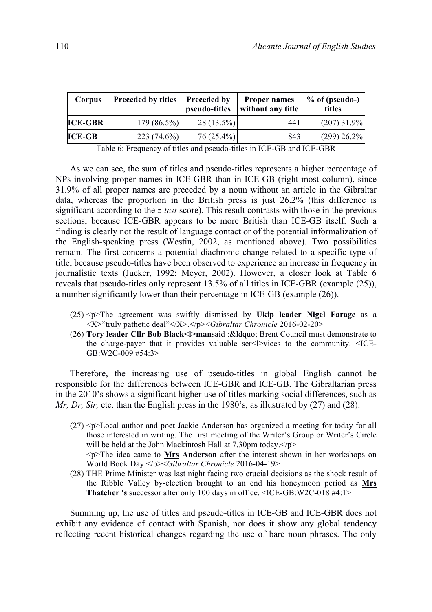| Corpus         | <b>Preceded by titles</b> | Preceded by<br>pseudo-titles | <b>Proper names</b><br>without any title | $%$ of (pseudo-)<br>titles |
|----------------|---------------------------|------------------------------|------------------------------------------|----------------------------|
| <b>ICE-GBR</b> | $179(86.5\%)$             | $28(13.5\%)$                 | 441                                      | $(207)$ 31.9%              |
| <b>ICE-GB</b>  | $223(74.6\%)$             | $76(25.4\%)$                 | 843                                      | $(299)$ 26.2%              |

Table 6: Frequency of titles and pseudo-titles in ICE-GB and ICE-GBR

As we can see, the sum of titles and pseudo-titles represents a higher percentage of NPs involving proper names in ICE-GBR than in ICE-GB (right-most column), since 31.9% of all proper names are preceded by a noun without an article in the Gibraltar data, whereas the proportion in the British press is just 26.2% (this difference is significant according to the *z-test* score). This result contrasts with those in the previous sections, because ICE-GBR appears to be more British than ICE-GB itself. Such a finding is clearly not the result of language contact or of the potential informalization of the English-speaking press (Westin, 2002, as mentioned above). Two possibilities remain. The first concerns a potential diachronic change related to a specific type of title, because pseudo-titles have been observed to experience an increase in frequency in journalistic texts (Jucker, 1992; Meyer, 2002). However, a closer look at Table 6 reveals that pseudo-titles only represent 13.5% of all titles in ICE-GBR (example (25)), a number significantly lower than their percentage in ICE-GB (example (26)).

- (25) <p>The agreement was swiftly dismissed by **Ukip leader Nigel Farage** as a <X>"truly pathetic deal"</X>.</p><*Gibraltar Chronicle* 2016-02-20>
- (26) **Tory leader Cllr Bob Black<I>mansaid : &Idquo: Brent Council must demonstrate to** the charge-payer that it provides valuable ser  $\leq$   $\geq$  vices to the community.  $\leq$  ICE-GB:W2C-009 #54:3>

Therefore, the increasing use of pseudo-titles in global English cannot be responsible for the differences between ICE-GBR and ICE-GB. The Gibraltarian press in the 2010's shows a significant higher use of titles marking social differences, such as *Mr, Dr, Sir, etc.* than the English press in the 1980's, as illustrated by (27) and (28):

- $(27)$   $\leq$  p>Local author and poet Jackie Anderson has organized a meeting for today for all those interested in writing. The first meeting of the Writer's Group or Writer's Circle will be held at the John Mackintosh Hall at 7.30pm today.  $\langle p \rangle$ <p>The idea came to **Mrs Anderson** after the interest shown in her workshops on World Book Day.</p><*Gibraltar Chronicle* 2016-04-19>
- (28) THE Prime Minister was last night facing two crucial decisions as the shock result of the Ribble Valley by-election brought to an end his honeymoon period as **Mrs Thatcher 's** successor after only 100 days in office. <ICE-GB:W2C-018 #4:1>

Summing up, the use of titles and pseudo-titles in ICE-GB and ICE-GBR does not exhibit any evidence of contact with Spanish, nor does it show any global tendency reflecting recent historical changes regarding the use of bare noun phrases. The only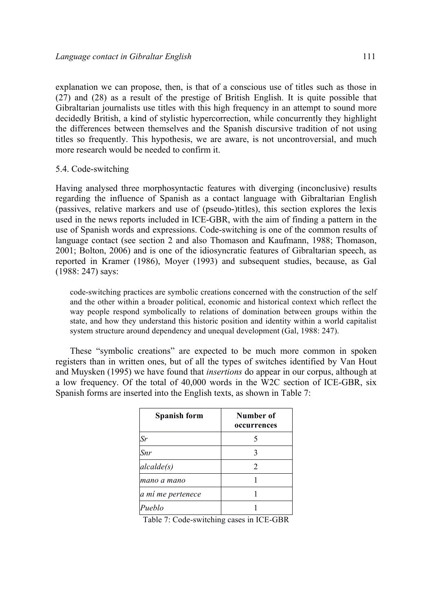explanation we can propose, then, is that of a conscious use of titles such as those in (27) and (28) as a result of the prestige of British English. It is quite possible that Gibraltarian journalists use titles with this high frequency in an attempt to sound more decidedly British, a kind of stylistic hypercorrection, while concurrently they highlight the differences between themselves and the Spanish discursive tradition of not using titles so frequently. This hypothesis, we are aware, is not uncontroversial, and much more research would be needed to confirm it.

## 5.4. Code-switching

Having analysed three morphosyntactic features with diverging (inconclusive) results regarding the influence of Spanish as a contact language with Gibraltarian English (passives, relative markers and use of (pseudo-)titles), this section explores the lexis used in the news reports included in ICE-GBR, with the aim of finding a pattern in the use of Spanish words and expressions. Code-switching is one of the common results of language contact (see section 2 and also Thomason and Kaufmann, 1988; Thomason, 2001; Bolton, 2006) and is one of the idiosyncratic features of Gibraltarian speech, as reported in Kramer (1986), Moyer (1993) and subsequent studies, because, as Gal (1988: 247) says:

code-switching practices are symbolic creations concerned with the construction of the self and the other within a broader political, economic and historical context which reflect the way people respond symbolically to relations of domination between groups within the state, and how they understand this historic position and identity within a world capitalist system structure around dependency and unequal development (Gal, 1988: 247).

These "symbolic creations" are expected to be much more common in spoken registers than in written ones, but of all the types of switches identified by Van Hout and Muysken (1995) we have found that *insertions* do appear in our corpus, although at a low frequency. Of the total of 40,000 words in the W2C section of ICE-GBR, six Spanish forms are inserted into the English texts, as shown in Table 7:

| <b>Spanish form</b> | Number of<br>occurrences    |
|---------------------|-----------------------------|
| Sr                  |                             |
| Snr                 | 3                           |
| alcalde(s)          | $\mathcal{D}_{\mathcal{L}}$ |
| mano a mano         |                             |
| a mí me pertenece   |                             |
| Pueblo              |                             |

Table 7: Code-switching cases in ICE-GBR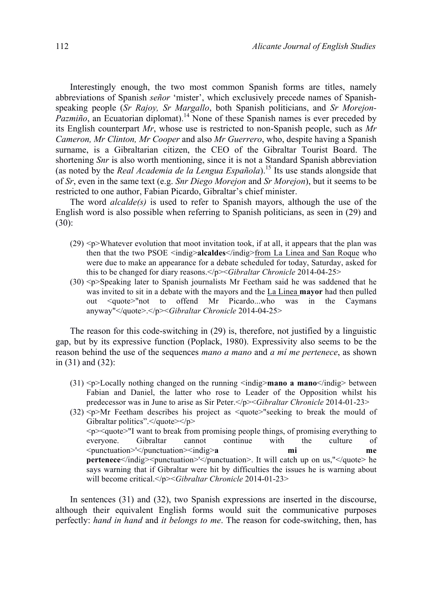Interestingly enough, the two most common Spanish forms are titles, namely abbreviations of Spanish *señor* 'mister', which exclusively precede names of Spanishspeaking people (*Sr Rajoy, Sr Margallo*, both Spanish politicians, and *Sr Morejon-Pazmiño*, an Ecuatorian diplomat).<sup>14</sup> None of these Spanish names is ever preceded by its English counterpart *Mr*, whose use is restricted to non-Spanish people, such as *Mr Cameron, Mr Clinton, Mr Cooper* and also *Mr Guerrero*, who, despite having a Spanish surname, is a Gibraltarian citizen, the CEO of the Gibraltar Tourist Board. The shortening *Snr* is also worth mentioning, since it is not a Standard Spanish abbreviation (as noted by the *Real Academia de la Lengua Española*).<sup>15</sup> Its use stands alongside that of *Sr*, even in the same text (e.g. *Snr Diego Morejon* and *Sr Morejon*), but it seems to be restricted to one author, Fabian Picardo, Gibraltar's chief minister.

The word *alcalde(s)* is used to refer to Spanish mayors, although the use of the English word is also possible when referring to Spanish politicians, as seen in (29) and (30):

- $(29)$   $-p$  Whatever evolution that moot invitation took, if at all, it appears that the plan was then that the two PSOE <indig>**alcaldes**</indig>from La Linea and San Roque who were due to make an appearance for a debate scheduled for today, Saturday, asked for this to be changed for diary reasons.</p><*Gibraltar Chronicle* 2014-04-25>
- (30) <p>Speaking later to Spanish journalists Mr Feetham said he was saddened that he was invited to sit in a debate with the mayors and the La Linea **mayor** had then pulled out <quote>"not to offend Mr Picardo...who was in the Caymans anyway"</quote>.</p><*Gibraltar Chronicle* 2014-04-25>

The reason for this code-switching in (29) is, therefore, not justified by a linguistic gap, but by its expressive function (Poplack, 1980). Expressivity also seems to be the reason behind the use of the sequences *mano a mano* and *a mí me pertenece*, as shown in (31) and (32):

- (31) <p>Locally nothing changed on the running <indig>**mano a mano**</indig> between Fabian and Daniel, the latter who rose to Leader of the Opposition whilst his predecessor was in June to arise as Sir Peter.</p><*Gibraltar Chronicle* 2014-01-23>
- (32) <p>Mr Feetham describes his project as <quote>"seeking to break the mould of Gibraltar politics".</quote></p> <p><quote>"I want to break from promising people things, of promising everything to everyone. Gibraltar cannot continue with the culture of <punctuation>'</punctuation><indig>**a mi me pertenece**</indig><punctuation>'</punctuation>. It will catch up on us,"</quote> he says warning that if Gibraltar were hit by difficulties the issues he is warning about will become critical.</p><*Gibraltar Chronicle* 2014-01-23>

In sentences (31) and (32), two Spanish expressions are inserted in the discourse, although their equivalent English forms would suit the communicative purposes perfectly: *hand in hand* and *it belongs to me*. The reason for code-switching, then, has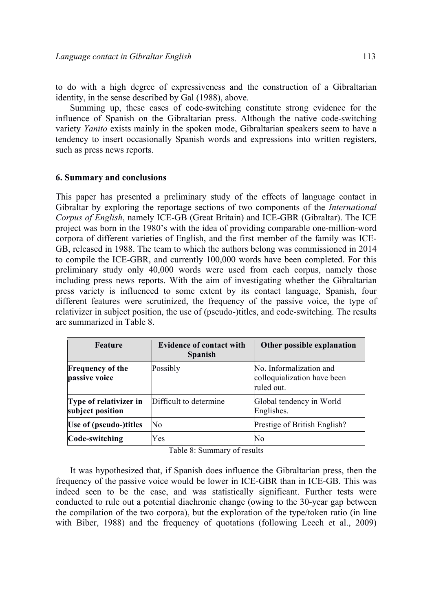to do with a high degree of expressiveness and the construction of a Gibraltarian identity, in the sense described by Gal (1988), above.

Summing up, these cases of code-switching constitute strong evidence for the influence of Spanish on the Gibraltarian press. Although the native code-switching variety *Yanito* exists mainly in the spoken mode, Gibraltarian speakers seem to have a tendency to insert occasionally Spanish words and expressions into written registers, such as press news reports.

## **6. Summary and conclusions**

This paper has presented a preliminary study of the effects of language contact in Gibraltar by exploring the reportage sections of two components of the *International Corpus of English*, namely ICE-GB (Great Britain) and ICE-GBR (Gibraltar). The ICE project was born in the 1980's with the idea of providing comparable one-million-word corpora of different varieties of English, and the first member of the family was ICE-GB, released in 1988. The team to which the authors belong was commissioned in 2014 to compile the ICE-GBR, and currently 100,000 words have been completed. For this preliminary study only 40,000 words were used from each corpus, namely those including press news reports. With the aim of investigating whether the Gibraltarian press variety is influenced to some extent by its contact language, Spanish, four different features were scrutinized, the frequency of the passive voice, the type of relativizer in subject position, the use of (pseudo-)titles, and code-switching. The results are summarized in Table 8.

| Feature                                    | <b>Evidence of contact with</b><br><b>Spanish</b> | Other possible explanation                                           |
|--------------------------------------------|---------------------------------------------------|----------------------------------------------------------------------|
| <b>Frequency of the</b><br>passive voice   | Possibly                                          | No. Informalization and<br>colloquialization have been<br>ruled out. |
| Type of relativizer in<br>subject position | Difficult to determine                            | Global tendency in World<br>Englishes.                               |
| Use of (pseudo-)titles                     | No                                                | Prestige of British English?                                         |
| Code-switching                             | Yes                                               | No                                                                   |

Table 8: Summary of results

It was hypothesized that, if Spanish does influence the Gibraltarian press, then the frequency of the passive voice would be lower in ICE-GBR than in ICE-GB. This was indeed seen to be the case, and was statistically significant. Further tests were conducted to rule out a potential diachronic change (owing to the 30-year gap between the compilation of the two corpora), but the exploration of the type/token ratio (in line with Biber, 1988) and the frequency of quotations (following Leech et al., 2009)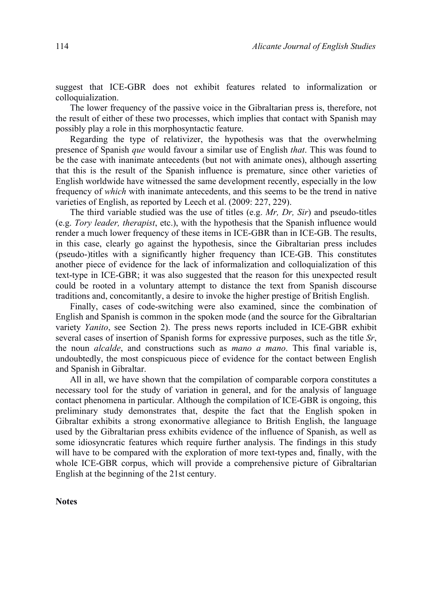suggest that ICE-GBR does not exhibit features related to informalization or colloquialization.

The lower frequency of the passive voice in the Gibraltarian press is, therefore, not the result of either of these two processes, which implies that contact with Spanish may possibly play a role in this morphosyntactic feature.

Regarding the type of relativizer, the hypothesis was that the overwhelming presence of Spanish *que* would favour a similar use of English *that*. This was found to be the case with inanimate antecedents (but not with animate ones), although asserting that this is the result of the Spanish influence is premature, since other varieties of English worldwide have witnessed the same development recently, especially in the low frequency of *which* with inanimate antecedents, and this seems to be the trend in native varieties of English, as reported by Leech et al. (2009: 227, 229).

The third variable studied was the use of titles (e.g. *Mr, Dr, Sir*) and pseudo-titles (e.g. *Tory leader, therapist*, etc.), with the hypothesis that the Spanish influence would render a much lower frequency of these items in ICE-GBR than in ICE-GB. The results, in this case, clearly go against the hypothesis, since the Gibraltarian press includes (pseudo-)titles with a significantly higher frequency than ICE-GB. This constitutes another piece of evidence for the lack of informalization and colloquialization of this text-type in ICE-GBR; it was also suggested that the reason for this unexpected result could be rooted in a voluntary attempt to distance the text from Spanish discourse traditions and, concomitantly, a desire to invoke the higher prestige of British English.

Finally, cases of code-switching were also examined, since the combination of English and Spanish is common in the spoken mode (and the source for the Gibraltarian variety *Yanito*, see Section 2). The press news reports included in ICE-GBR exhibit several cases of insertion of Spanish forms for expressive purposes, such as the title *Sr*, the noun *alcalde*, and constructions such as *mano a mano*. This final variable is, undoubtedly, the most conspicuous piece of evidence for the contact between English and Spanish in Gibraltar.

All in all, we have shown that the compilation of comparable corpora constitutes a necessary tool for the study of variation in general, and for the analysis of language contact phenomena in particular. Although the compilation of ICE-GBR is ongoing, this preliminary study demonstrates that, despite the fact that the English spoken in Gibraltar exhibits a strong exonormative allegiance to British English, the language used by the Gibraltarian press exhibits evidence of the influence of Spanish, as well as some idiosyncratic features which require further analysis. The findings in this study will have to be compared with the exploration of more text-types and, finally, with the whole ICE-GBR corpus, which will provide a comprehensive picture of Gibraltarian English at the beginning of the 21st century.

**Notes**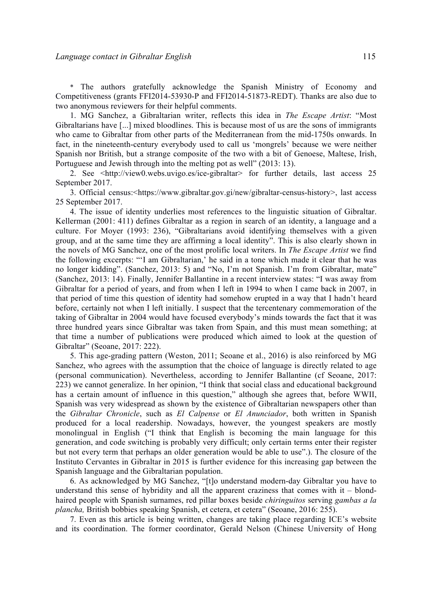\* The authors gratefully acknowledge the Spanish Ministry of Economy and Competitiveness (grants FFI2014-53930-P and FFI2014-51873-REDT). Thanks are also due to two anonymous reviewers for their helpful comments.

1. MG Sanchez, a Gibraltarian writer, reflects this idea in *The Escape Artist*: "Most Gibraltarians have [...] mixed bloodlines. This is because most of us are the sons of immigrants who came to Gibraltar from other parts of the Mediterranean from the mid-1750s onwards. In fact, in the nineteenth-century everybody used to call us 'mongrels' because we were neither Spanish nor British, but a strange composite of the two with a bit of Genoese, Maltese, Irish, Portuguese and Jewish through into the melting pot as well" (2013: 13).

2. See <http://view0.webs.uvigo.es/ice-gibraltar> for further details, last access 25 September 2017.

3. Official census:<https://www.gibraltar.gov.gi/new/gibraltar-census-history>, last access 25 September 2017.

4. The issue of identity underlies most references to the linguistic situation of Gibraltar. Kellerman (2001: 411) defines Gibraltar as a region in search of an identity, a language and a culture. For Moyer (1993: 236), "Gibraltarians avoid identifying themselves with a given group, and at the same time they are affirming a local identity". This is also clearly shown in the novels of MG Sanchez, one of the most prolific local writers. In *The Escape Artist* we find the following excerpts: "'I am Gibraltarian,' he said in a tone which made it clear that he was no longer kidding". (Sanchez, 2013: 5) and "No, I'm not Spanish. I'm from Gibraltar, mate" (Sanchez, 2013: 14). Finally, Jennifer Ballantine in a recent interview states: "I was away from Gibraltar for a period of years, and from when I left in 1994 to when I came back in 2007, in that period of time this question of identity had somehow erupted in a way that I hadn't heard before, certainly not when I left initially. I suspect that the tercentenary commemoration of the taking of Gibraltar in 2004 would have focused everybody's minds towards the fact that it was three hundred years since Gibraltar was taken from Spain, and this must mean something; at that time a number of publications were produced which aimed to look at the question of Gibraltar" (Seoane, 2017: 222).

5. This age-grading pattern (Weston, 2011; Seoane et al., 2016) is also reinforced by MG Sanchez, who agrees with the assumption that the choice of language is directly related to age (personal communication). Nevertheless, according to Jennifer Ballantine (cf Seoane, 2017: 223) we cannot generalize. In her opinion, "I think that social class and educational background has a certain amount of influence in this question," although she agrees that, before WWII, Spanish was very widespread as shown by the existence of Gibraltarian newspapers other than the *Gibraltar Chronicle*, such as *El Calpense* or *El Anunciador*, both written in Spanish produced for a local readership. Nowadays, however, the youngest speakers are mostly monolingual in English ("I think that English is becoming the main language for this generation, and code switching is probably very difficult; only certain terms enter their register but not every term that perhaps an older generation would be able to use".). The closure of the Instituto Cervantes in Gibraltar in 2015 is further evidence for this increasing gap between the Spanish language and the Gibraltarian population.

6. As acknowledged by MG Sanchez, "[t]o understand modern-day Gibraltar you have to understand this sense of hybridity and all the apparent craziness that comes with it – blondhaired people with Spanish surnames, red pillar boxes beside *chiringuitos* serving *gambas a la plancha,* British bobbies speaking Spanish, et cetera, et cetera" (Seoane, 2016: 255).

7. Even as this article is being written, changes are taking place regarding ICE's website and its coordination. The former coordinator, Gerald Nelson (Chinese University of Hong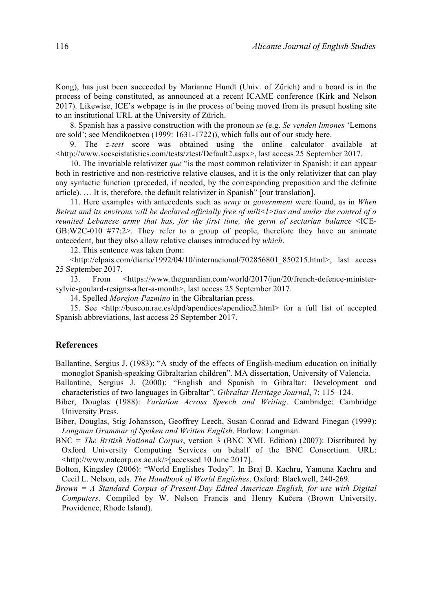Kong), has just been succeeded by Marianne Hundt (Univ. of Zürich) and a board is in the process of being constituted, as announced at a recent ICAME conference (Kirk and Nelson 2017). Likewise, ICE's webpage is in the process of being moved from its present hosting site to an institutional URL at the University of Zürich.

8. Spanish has a passive construction with the pronoun *se* (e.g. *Se venden limones* 'Lemons are sold'; see Mendikoetxea (1999: 1631-1722)), which falls out of our study here.

9. The *z-test* score was obtained using the online calculator available at <http://www.socscistatistics.com/tests/ztest/Default2.aspx>, last access 25 September 2017.

10. The invariable relativizer *que* "is the most common relativizer in Spanish: it can appear both in restrictive and non-restrictive relative clauses, and it is the only relativizer that can play any syntactic function (preceded, if needed, by the corresponding preposition and the definite article). … It is, therefore, the default relativizer in Spanish" [our translation].

11. Here examples with antecedents such as *army* or *government* were found, as in *When Beirut and its environs will be declared officially free of mili* < $\triangleright$  *tias and under the control of a reunited Lebanese army that has, for the first time, the germ of sectarian balance* <ICE-GB:W2C-010 #77:2>. They refer to a group of people, therefore they have an animate antecedent, but they also allow relative clauses introduced by *which*.

12. This sentence was taken from:

<http://elpais.com/diario/1992/04/10/internacional/702856801\_850215.html>, last access 25 September 2017.

13. From <https://www.theguardian.com/world/2017/jun/20/french-defence-ministersylvie-goulard-resigns-after-a-month>, last access 25 September 2017.

14. Spelled *Morejon-Pazmino* in the Gibraltarian press.

15. See <http://buscon.rae.es/dpd/apendices/apendice2.html> for a full list of accepted Spanish abbreviations, last access 25 September 2017.

#### **References**

Ballantine, Sergius J. (1983): "A study of the effects of English-medium education on initially monoglot Spanish-speaking Gibraltarian children". MA dissertation, University of Valencia.

- Ballantine, Sergius J. (2000): "English and Spanish in Gibraltar: Development and characteristics of two languages in Gibraltar". *Gibraltar Heritage Journal*, 7: 115–124.
- Biber, Douglas (1988): *Variation Across Speech and Writing*. Cambridge: Cambridge University Press.
- Biber, Douglas, Stig Johansson, Geoffrey Leech, Susan Conrad and Edward Finegan (1999): *Longman Grammar of Spoken and Written English*. Harlow: Longman.
- BNC = *The British National Corpus*, version 3 (BNC XML Edition) (2007): Distributed by Oxford University Computing Services on behalf of the BNC Consortium. URL: <http://www.natcorp.ox.ac.uk/>[accessed 10 June 2017].
- Bolton, Kingsley (2006): "World Englishes Today". In Braj B. Kachru, Yamuna Kachru and Cecil L. Nelson, eds. *The Handbook of World Englishes*. Oxford: Blackwell, 240-269.
- *Brown = A Standard Corpus of Present-Day Edited American English, for use with Digital Computers*. Compiled by W. Nelson Francis and Henry Kučera (Brown University. Providence, Rhode Island).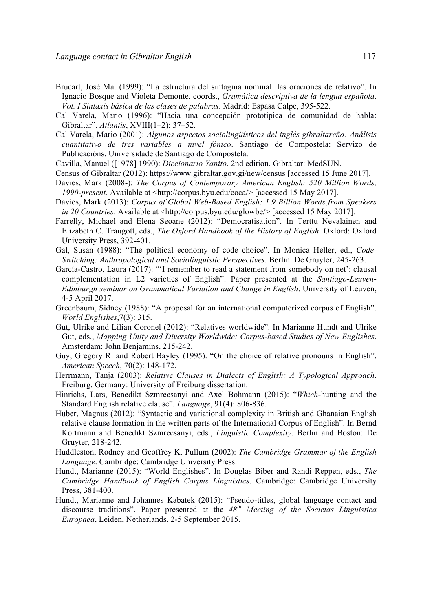- Brucart, José Ma. (1999): "La estructura del sintagma nominal: las oraciones de relativo". In Ignacio Bosque and Violeta Demonte, coords., *Gramática descriptiva de la lengua española*. *Vol. I Sintaxis básica de las clases de palabras*. Madrid: Espasa Calpe, 395-522.
- Cal Varela, Mario (1996): "Hacia una concepción prototípica de comunidad de habla: Gibraltar". *Atlantis*, XVIII(1–2): 37–52.
- Cal Varela, Mario (2001): *Algunos aspectos sociolingüísticos del inglés gibraltareño: Análisis cuantitativo de tres variables a nivel fónico*. Santiago de Compostela: Servizo de Publicacións, Universidade de Santiago de Compostela.
- Cavilla, Manuel ([1978] 1990): *Diccionario Yanito*. 2nd edition. Gibraltar: MedSUN.
- Census of Gibraltar (2012): https://www.gibraltar.gov.gi/new/census [accessed 15 June 2017].
- Davies, Mark (2008-): *The Corpus of Contemporary American English: 520 Million Words, 1990-present*. Available at <http://corpus.byu.edu/coca/> [accessed 15 May 2017].
- Davies, Mark (2013): *Corpus of Global Web-Based English: 1.9 Billion Words from Speakers in 20 Countries*. Available at <http://corpus.byu.edu/glowbe/> [accessed 15 May 2017].
- Farrelly, Michael and Elena Seoane (2012): "Democratisation". In Terttu Nevalainen and Elizabeth C. Traugott, eds., *The Oxford Handbook of the History of English*. Oxford: Oxford University Press, 392-401.
- Gal, Susan (1988): "The political economy of code choice". In Monica Heller, ed., *Code-Switching: Anthropological and Sociolinguistic Perspectives*. Berlin: De Gruyter, 245-263.
- García-Castro, Laura (2017): "'I remember to read a statement from somebody on net': clausal complementation in L2 varieties of English". Paper presented at the *Santiago-Leuven-Edinburgh seminar on Grammatical Variation and Change in English*. University of Leuven, 4-5 April 2017.
- Greenbaum, Sidney (1988): "A proposal for an international computerized corpus of English". *World Englishes*,7(3): 315.
- Gut, Ulrike and Lilian Coronel (2012): "Relatives worldwide". In Marianne Hundt and Ulrike Gut, eds., *Mapping Unity and Diversity Worldwide: Corpus-based Studies of New Englishes*. Amsterdam: John Benjamins, 215-242.
- Guy, Gregory R. and Robert Bayley (1995). "On the choice of relative pronouns in English". *American Speech*, 70(2): 148-172.
- Herrmann, Tanja (2003): *Relative Clauses in Dialects of English: A Typological Approach*. Freiburg, Germany: University of Freiburg dissertation.
- Hinrichs, Lars, Benedikt Szmrecsanyi and Axel Bohmann (2015): "*Which*-hunting and the Standard English relative clause". *Language*, 91(4): 806-836.
- Huber, Magnus (2012): "Syntactic and variational complexity in British and Ghanaian English relative clause formation in the written parts of the International Corpus of English". In Bernd Kortmann and Benedikt Szmrecsanyi, eds., *Linguistic Complexity*. Berlin and Boston: De Gruyter, 218-242.
- Huddleston, Rodney and Geoffrey K. Pullum (2002): *The Cambridge Grammar of the English Language*. Cambridge: Cambridge University Press.
- Hundt, Marianne (2015): "World Englishes". In Douglas Biber and Randi Reppen, eds., *The Cambridge Handbook of English Corpus Linguistics*. Cambridge: Cambridge University Press, 381-400.
- Hundt, Marianne and Johannes Kabatek (2015): "Pseudo-titles, global language contact and discourse traditions". Paper presented at the *48th Meeting of the Societas Linguistica Europaea*, Leiden, Netherlands, 2-5 September 2015.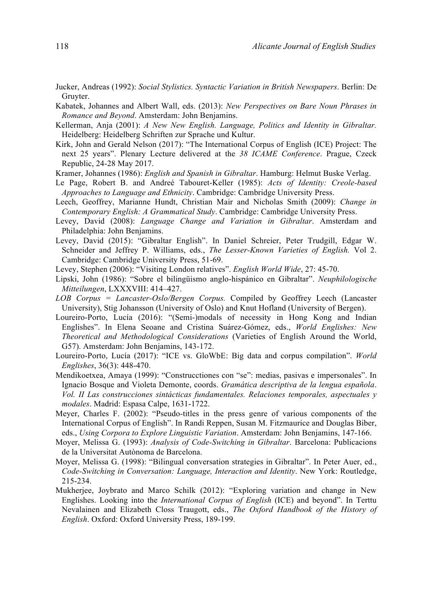- Jucker, Andreas (1992): *Social Stylistics. Syntactic Variation in British Newspapers*. Berlin: De Gruyter.
- Kabatek, Johannes and Albert Wall, eds. (2013): *New Perspectives on Bare Noun Phrases in Romance and Beyond*. Amsterdam: John Benjamins.
- Kellerman, Anja (2001): *A New New English. Language, Politics and Identity in Gibraltar.* Heidelberg: Heidelberg Schriften zur Sprache und Kultur.
- Kirk, John and Gerald Nelson (2017): "The International Corpus of English (ICE) Project: The next 25 years". Plenary Lecture delivered at the *38 ICAME Conference*. Prague, Czeck Republic, 24-28 May 2017.
- Kramer, Johannes (1986): *English and Spanish in Gibraltar*. Hamburg: Helmut Buske Verlag.
- Le Page, Robert B. and Andreé Tabouret-Keller (1985): *Acts of Identity: Creole-based Approaches to Language and Ethnicity*. Cambridge: Cambridge University Press.
- Leech, Geoffrey, Marianne Hundt, Christian Mair and Nicholas Smith (2009): *Change in Contemporary English: A Grammatical Study*. Cambridge: Cambridge University Press.
- Levey, David (2008): *Language Change and Variation in Gibraltar*. Amsterdam and Philadelphia: John Benjamins.
- Levey, David (2015): "Gibraltar English". In Daniel Schreier, Peter Trudgill, Edgar W. Schneider and Jeffrey P. Williams, eds., *The Lesser-Known Varieties of English.* Vol 2. Cambridge: Cambridge University Press, 51-69.
- Levey, Stephen (2006): "Visiting London relatives". *English World Wide*, 27: 45-70.
- Lipski, John (1986): "Sobre el bilingüismo anglo-hispánico en Gibraltar". *Neuphilologische Mitteilungen*, LXXXVIII: 414–427.
- *LOB Corpus = Lancaster-Oslo/Bergen Corpus.* Compiled by Geoffrey Leech (Lancaster University), Stig Johansson (University of Oslo) and Knut Hofland (University of Bergen).
- Loureiro-Porto, Lucía (2016): "(Semi-)modals of necessity in Hong Kong and Indian Englishes". In Elena Seoane and Cristina Suárez-Gómez, eds., *World Englishes: New Theoretical and Methodological Considerations* (Varieties of English Around the World, G57). Amsterdam: John Benjamins, 143-172.
- Loureiro-Porto, Lucía (2017): "ICE vs. GloWbE: Big data and corpus compilation". *World Englishes*, 36(3): 448-470.
- Mendikoetxea, Amaya (1999): "Construcctiones con "se": medias, pasivas e impersonales". In Ignacio Bosque and Violeta Demonte, coords. *Gramática descriptiva de la lengua española*. *Vol. II Las construcciones sintácticas fundamentales. Relaciones temporales, aspectuales y modales*. Madrid: Espasa Calpe, 1631-1722.
- Meyer, Charles F. (2002): "Pseudo-titles in the press genre of various components of the International Corpus of English". In Randi Reppen, Susan M. Fitzmaurice and Douglas Biber, eds., *Using Corpora to Explore Linguistic Variation*. Amsterdam: John Benjamins, 147-166.
- Moyer, Melissa G. (1993): *Analysis of Code-Switching in Gibraltar*. Barcelona: Publicacions de la Universitat Autònoma de Barcelona.
- Moyer, Melissa G. (1998): "Bilingual conversation strategies in Gibraltar". In Peter Auer, ed., *Code-Switching in Conversation: Language, Interaction and Identity*. New York: Routledge, 215-234.
- Mukherjee, Joybrato and Marco Schilk (2012): "Exploring variation and change in New Englishes. Looking into the *International Corpus of English* (ICE) and beyond". In Terttu Nevalainen and Elizabeth Closs Traugott, eds., *The Oxford Handbook of the History of English*. Oxford: Oxford University Press, 189-199.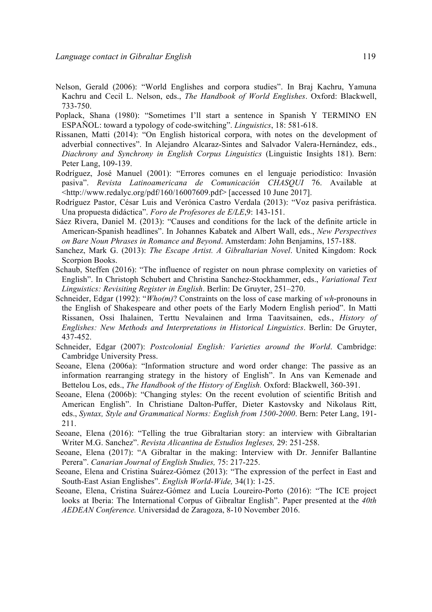- Nelson, Gerald (2006): "World Englishes and corpora studies". In Braj Kachru, Yamuna Kachru and Cecil L. Nelson, eds., *The Handbook of World Englishes*. Oxford: Blackwell, 733-750.
- Poplack, Shana (1980): "Sometimes I'll start a sentence in Spanish Y TERMINO EN ESPAÑOL: toward a typology of code-switching". *Linguistics*, 18: 581-618.
- Rissanen, Matti (2014): "On English historical corpora, with notes on the development of adverbial connectives". In Alejandro Alcaraz-Sintes and Salvador Valera-Hernández, eds., *Diachrony and Synchrony in English Corpus Linguistics* (Linguistic Insights 181). Bern: Peter Lang, 109-139.
- Rodríguez, José Manuel (2001): "Errores comunes en el lenguaje periodístico: Invasión pasiva". *Revista Latinoamericana de Comunicación CHASQUI* 76. Available at <http://www.redalyc.org/pdf/160/16007609.pdf> [accessed 10 June 2017].
- Rodríguez Pastor, César Luis and Verónica Castro Verdala (2013): "Voz pasiva perifrástica. Una propuesta didáctica". *Foro de Profesores de E/LE*,9: 143-151.
- Sáez Rivera, Daniel M. (2013): "Causes and conditions for the lack of the definite article in American-Spanish headlines". In Johannes Kabatek and Albert Wall, eds., *New Perspectives on Bare Noun Phrases in Romance and Beyond*. Amsterdam: John Benjamins, 157-188.
- Sanchez, Mark G. (2013): *The Escape Artist. A Gibraltarian Novel*. United Kingdom: Rock Scorpion Books.
- Schaub, Steffen (2016): "The influence of register on noun phrase complexity on varieties of English". In Christoph Schubert and Christina Sanchez-Stockhammer, eds., *Variational Text Linguistics: Revisiting Register in English*. Berlin: De Gruyter, 251–270.
- Schneider, Edgar (1992): "*Who(m)*? Constraints on the loss of case marking of *wh*-pronouns in the English of Shakespeare and other poets of the Early Modern English period". In Matti Rissanen, Ossi Ihalainen, Terttu Nevalainen and Irma Taavitsainen, eds., *History of Englishes: New Methods and Interpretations in Historical Linguistics*. Berlin: De Gruyter, 437-452.
- Schneider, Edgar (2007): *Postcolonial English: Varieties around the World*. Cambridge: Cambridge University Press.
- Seoane, Elena (2006a): "Information structure and word order change: The passive as an information rearranging strategy in the history of English". In Ans van Kemenade and Bettelou Los, eds., *The Handbook of the History of English.* Oxford: Blackwell, 360-391.
- Seoane, Elena (2006b): "Changing styles: On the recent evolution of scientific British and American English". In Christiane Dalton-Puffer, Dieter Kastovsky and Nikolaus Ritt, eds., *Syntax, Style and Grammatical Norms: English from 1500-2000*. Bern: Peter Lang, 191- 211.
- Seoane, Elena (2016): "Telling the true Gibraltarian story: an interview with Gibraltarian Writer M.G. Sanchez". *Revista Alicantina de Estudios Ingleses,* 29: 251-258.
- Seoane, Elena (2017): "A Gibraltar in the making: Interview with Dr. Jennifer Ballantine Perera". *Canarian Journal of English Studies,* 75: 217-225.
- Seoane, Elena and Cristina Suárez-Gómez (2013): "The expression of the perfect in East and South-East Asian Englishes". *English World-Wide,* 34(1): 1-25.
- Seoane, Elena, Cristina Suárez-Gómez and Lucía Loureiro-Porto (2016): "The ICE project looks at Iberia: The International Corpus of Gibraltar English". Paper presented at the *40th AEDEAN Conference.* Universidad de Zaragoza, 8-10 November 2016.